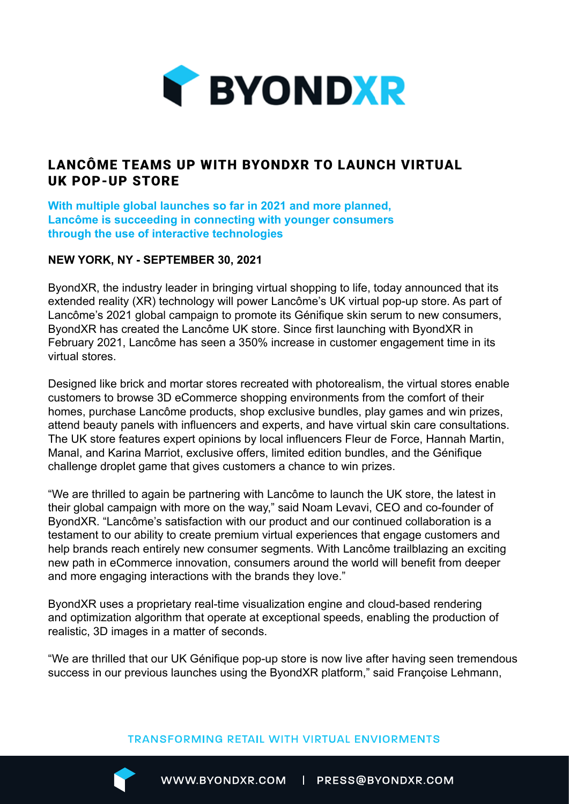

## LANCÔME TEAMS UP WITH BYONDXR TO LAUNCH VIRTUAL UK POP-UP STORE

**With multiple global launches so far in 2021 and more planned, Lancôme is succeeding in connecting with younger consumers through the use of interactive technologies**

## **NEW YORK, NY - SEPTEMBER 30, 2021**

ByondXR, the industry leader in bringing virtual shopping to life, today announced that its extended reality (XR) technology will power Lancôme's UK virtual pop-up store. As part of Lancôme's 2021 global campaign to promote its Génifique skin serum to new consumers, ByondXR has created the Lancôme UK store. Since first launching with ByondXR in February 2021, Lancôme has seen a 350% increase in customer engagement time in its virtual stores.

Designed like brick and mortar stores recreated with photorealism, the virtual stores enable customers to browse 3D eCommerce shopping environments from the comfort of their homes, purchase Lancôme products, shop exclusive bundles, play games and win prizes, attend beauty panels with influencers and experts, and have virtual skin care consultations. The UK store features expert opinions by local influencers Fleur de Force, Hannah Martin, Manal, and Karina Marriot, exclusive offers, limited edition bundles, and the Génifique challenge droplet game that gives customers a chance to win prizes.

"We are thrilled to again be partnering with Lancôme to launch the UK store, the latest in their global campaign with more on the way," said Noam Levavi, CEO and co-founder of ByondXR. "Lancôme's satisfaction with our product and our continued collaboration is a testament to our ability to create premium virtual experiences that engage customers and help brands reach entirely new consumer segments. With Lancôme trailblazing an exciting new path in eCommerce innovation, consumers around the world will benefit from deeper and more engaging interactions with the brands they love."

ByondXR uses a proprietary real-time visualization engine and cloud-based rendering and optimization algorithm that operate at exceptional speeds, enabling the production of realistic, 3D images in a matter of seconds.

"We are thrilled that our UK Génifique pop-up store is now live after having seen tremendous success in our previous launches using the ByondXR platform," said Françoise Lehmann,

## **TRANSFORMING RETAIL WITH VIRTUAL ENVIORMENTS**